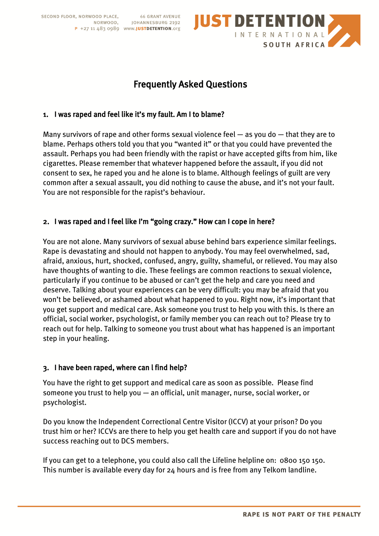

# Frequently Asked Questions

### 1. I was raped and feel like it's my fault. Am I to blame?

Many survivors of rape and other forms sexual violence feel — as you do — that they are to blame. Perhaps others told you that you "wanted it" or that you could have prevented the assault. Perhaps you had been friendly with the rapist or have accepted gifts from him, like cigarettes. Please remember that whatever happened before the assault, if you did not consent to sex, he raped you and he alone is to blame. Although feelings of guilt are very common after a sexual assault, you did nothing to cause the abuse, and it's not your fault. You are not responsible for the rapist's behaviour.

#### 2. I was raped and I feel like I'm "going crazy." How can I cope in here?

You are not alone. Many survivors of sexual abuse behind bars experience similar feelings. Rape is devastating and should not happen to anybody. You may feel overwhelmed, sad, afraid, anxious, hurt, shocked, confused, angry, guilty, shameful, or relieved. You may also have thoughts of wanting to die. These feelings are common reactions to sexual violence, particularly if you continue to be abused or can't get the help and care you need and deserve. Talking about your experiences can be very difficult: you may be afraid that you won't be believed, or ashamed about what happened to you. Right now, it's important that you get support and medical care. Ask someone you trust to help you with this. Is there an official, social worker, psychologist, or family member you can reach out to? Please try to reach out for help. Talking to someone you trust about what has happened is an important step in your healing.

#### 3. I have been raped, where can l find help?

You have the right to get support and medical care as soon as possible. Please find someone you trust to help you — an official, unit manager, nurse, social worker, or psychologist.

Do you know the Independent Correctional Centre Visitor (ICCV) at your prison? Do you trust him or her? ICCVs are there to help you get health care and support if you do not have success reaching out to DCS members.

If you can get to a telephone, you could also call the Lifeline helpline on: 0800 150 150. This number is available every day for 24 hours and is free from any Telkom landline.